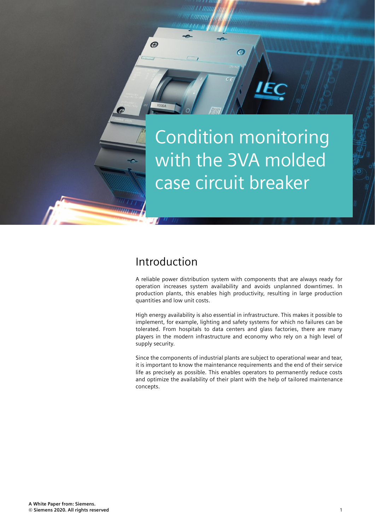Condition monitoring with the 3VA molded case circuit breaker

G.

### Introduction

 $\bigcirc$ 

A reliable power distribution system with components that are always ready for operation increases system availability and avoids unplanned downtimes. In production plants, this enables high productivity, resulting in large production quantities and low unit costs.

High energy availability is also essential in infrastructure. This makes it possible to implement, for example, lighting and safety systems for which no failures can be tolerated. From hospitals to data centers and glass factories, there are many players in the modern infrastructure and economy who rely on a high level of supply security.

Since the components of industrial plants are subject to operational wear and tear, it is important to know the maintenance requirements and the end of their service life as precisely as possible. This enables operators to permanently reduce costs and optimize the availability of their plant with the help of tailored maintenance concepts.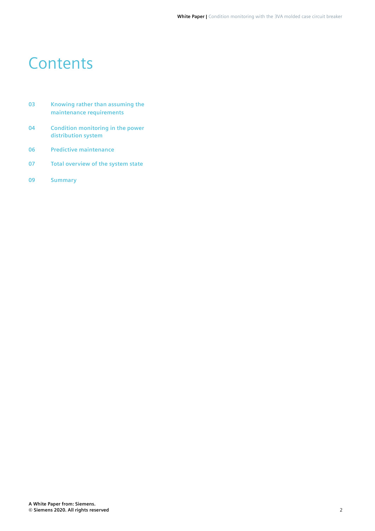### **Contents**

- **03 Knowing rather than assuming the maintenance requirements**
- **04 Condition monitoring in the power distribution system**
- **06 Predictive maintenance**
- **07 Total overview of the system state**
- **09 Summary**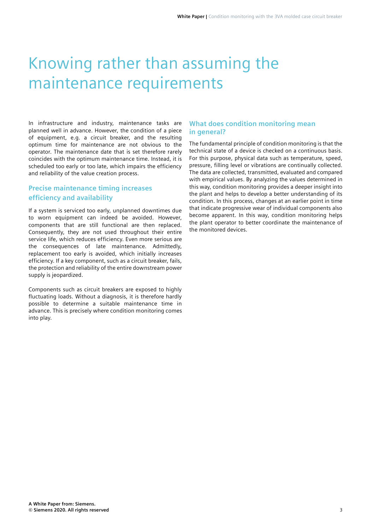## Knowing rather than assuming the maintenance requirements

In infrastructure and industry, maintenance tasks are planned well in advance. However, the condition of a piece of equipment, e.g. a circuit breaker, and the resulting optimum time for maintenance are not obvious to the operator. The maintenance date that is set therefore rarely coincides with the optimum maintenance time. Instead, it is scheduled too early or too late, which impairs the efficiency and reliability of the value creation process.

#### **Precise maintenance timing increases efficiency and availability**

If a system is serviced too early, unplanned downtimes due to worn equipment can indeed be avoided. However, components that are still functional are then replaced. Consequently, they are not used throughout their entire service life, which reduces efficiency. Even more serious are the consequences of late maintenance. Admittedly, replacement too early is avoided, which initially increases efficiency. If a key component, such as a circuit breaker, fails, the protection and reliability of the entire downstream power supply is jeopardized.

Components such as circuit breakers are exposed to highly fluctuating loads. Without a diagnosis, it is therefore hardly possible to determine a suitable maintenance time in advance. This is precisely where condition monitoring comes into play.

#### **What does condition monitoring mean in general?**

The fundamental principle of condition monitoring is that the technical state of a device is checked on a continuous basis. For this purpose, physical data such as temperature, speed, pressure, filling level or vibrations are continually collected. The data are collected, transmitted, evaluated and compared with empirical values. By analyzing the values determined in this way, condition monitoring provides a deeper insight into the plant and helps to develop a better understanding of its condition. In this process, changes at an earlier point in time that indicate progressive wear of individual components also become apparent. In this way, condition monitoring helps the plant operator to better coordinate the maintenance of the monitored devices.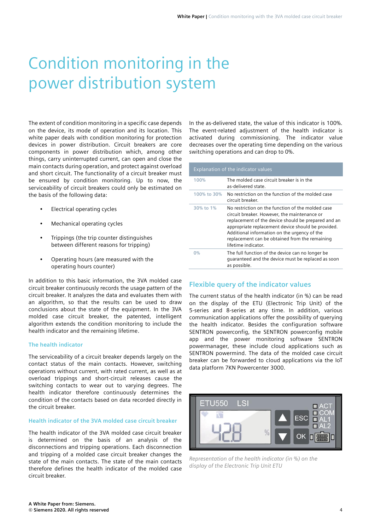# Condition monitoring in the power distribution system

The extent of condition monitoring in a specific case depends on the device, its mode of operation and its location. This white paper deals with condition monitoring for protection devices in power distribution. Circuit breakers are core components in power distribution which, among other things, carry uninterrupted current, can open and close the main contacts during operation, and protect against overload and short circuit. The functionality of a circuit breaker must be ensured by condition monitoring. Up to now, the serviceability of circuit breakers could only be estimated on the basis of the following data:

- Electrical operating cycles
- Mechanical operating cycles
- Trippings (the trip counter distinguishes between different reasons for tripping)
- Operating hours (are measured with the operating hours counter)

In addition to this basic information, the 3VA molded case circuit breaker continuously records the usage pattern of the circuit breaker. It analyzes the data and evaluates them with an algorithm, so that the results can be used to draw conclusions about the state of the equipment. In the 3VA molded case circuit breaker, the patented, intelligent algorithm extends the condition monitoring to include the health indicator and the remaining lifetime.

#### **The health indicator**

The serviceability of a circuit breaker depends largely on the contact status of the main contacts. However, switching operations without current, with rated current, as well as at overload trippings and short-circuit releases cause the switching contacts to wear out to varying degrees. The health indicator therefore continuously determines the condition of the contacts based on data recorded directly in the circuit breaker.

#### **Health indicator of the 3VA molded case circuit breaker**

The health indicator of the 3VA molded case circuit breaker is determined on the basis of an analysis of the disconnections and tripping operations. Each disconnection and tripping of a molded case circuit breaker changes the state of the main contacts. The state of the main contacts therefore defines the health indicator of the molded case circuit breaker.

In the as-delivered state, the value of this indicator is 100%. The event-related adjustment of the health indicator is activated during commissioning. The indicator value decreases over the operating time depending on the various switching operations and can drop to 0%.

| Explanation of the indicator values |                                                                                                                                                                                                                                                                                                                                         |  |  |  |
|-------------------------------------|-----------------------------------------------------------------------------------------------------------------------------------------------------------------------------------------------------------------------------------------------------------------------------------------------------------------------------------------|--|--|--|
| 100%                                | The molded case circuit breaker is in the<br>as-delivered state.                                                                                                                                                                                                                                                                        |  |  |  |
| 100% to 30%                         | No restriction on the function of the molded case<br>circuit breaker.                                                                                                                                                                                                                                                                   |  |  |  |
| 30% to 1%                           | No restriction on the function of the molded case<br>circuit breaker. However, the maintenance or<br>replacement of the device should be prepared and an<br>appropriate replacement device should be provided.<br>Additional information on the urgency of the<br>replacement can be obtained from the remaining<br>lifetime indicator. |  |  |  |
| $0\%$                               | The full function of the device can no longer be<br>quaranteed and the device must be replaced as soon<br>as possible.                                                                                                                                                                                                                  |  |  |  |

#### **Flexible query of the indicator values**

The current status of the health indicator (in %) can be read on the display of the ETU (Electronic Trip Unit) of the 5-series and 8-series at any time. In addition, various communication applications offer the possibility of querying the health indicator. Besides the configuration software SENTRON powerconfig, the SENTRON powerconfig mobile app and the power monitoring software SENTRON powermanager, these include cloud applications such as SENTRON powermind. The data of the molded case circuit breaker can be forwarded to cloud applications via the IoT data platform 7KN Powercenter 3000.



*Representation of the health indicator (in %) on the display of the Electronic Trip Unit ETU*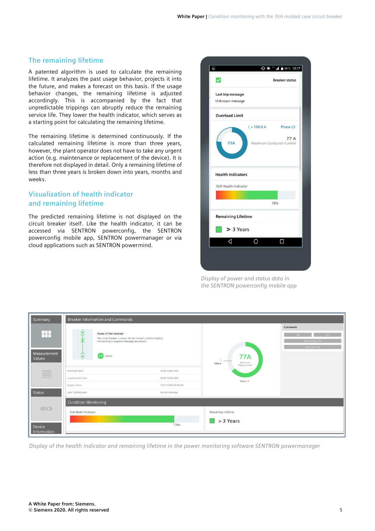#### **The remaining lifetime**

A patented algorithm is used to calculate the remaining lifetime. It analyzes the past usage behavior, projects it into the future, and makes a forecast on this basis. If the usage behavior changes, the remaining lifetime is adjusted accordingly. This is accompanied by the fact that unpredictable trippings can abruptly reduce the remaining service life. They lower the health indicator, which serves as a starting point for calculating the remaining lifetime.

The remaining lifetime is determined continuously. If the calculated remaining lifetime is more than three years, however, the plant operator does not have to take any urgent action (e.g. maintenance or replacement of the device). It is therefore not displayed in detail. Only a remaining lifetime of less than three years is broken down into years, months and weeks.

#### **Visualization of health indicator and remaining lifetime**

The predicted remaining lifetime is not displayed on the circuit breaker itself. Like the health indicator, it can be accessed via SENTRON powerconfig, the SENTRON powerconfig mobile app, SENTRON powermanager or via cloud applications such as SENTRON powermind.

| ✓                           |                        | <b>Breaker status</b>     |
|-----------------------------|------------------------|---------------------------|
|                             |                        |                           |
| Last trip message           |                        |                           |
| Unknown message             |                        |                           |
| <b>Overload Limit</b>       |                        |                           |
|                             | $I = 100.0 A$ Phase L3 |                           |
|                             |                        | 77 A                      |
| <b>77A</b>                  |                        | Maximum Conductor Current |
|                             |                        |                           |
| <b>Health Indicators</b>    |                        |                           |
| <b>3VA Health Indicator</b> |                        |                           |
|                             |                        |                           |
|                             |                        | 78%                       |
| <b>Remaining Lifetime</b>   |                        |                           |
|                             | > 3 Years              |                           |
| ◁                           | O                      | П                         |
|                             |                        |                           |

*Display of power and status data in the SENTRON powerconfig mobile app*

| Summary                    | <b>Breaker Information and Commands</b>                                                                                            |                                                                |                                                   |                                                                |  |  |  |
|----------------------------|------------------------------------------------------------------------------------------------------------------------------------|----------------------------------------------------------------|---------------------------------------------------|----------------------------------------------------------------|--|--|--|
| m<br>Measurement<br>Values | State of the breaker<br>$\checkmark$<br>Ж<br>nor warning or setpoint messages are present.<br><del>⋋</del><br><b>LAT</b><br>Online | The circuit breaker is closed. At the moment, neither tripping | <b>77A</b><br>Maximum<br>100.0 A<br>Phase Current | Commands<br>OFF<br>ON .<br>Acknowledge Trip<br>Reset Lest Trip |  |  |  |
| 囲                          | Plant Identifier:<br>Location Identifier:                                                                                          | XXXX-XXXX-XXX<br>XXXX-XXXX-XXX                                 |                                                   |                                                                |  |  |  |
|                            | System Time:                                                                                                                       | 12/31/1999 00:00:00                                            | Phase L3                                          |                                                                |  |  |  |
| <b>Status</b>              | Last Trip Message:                                                                                                                 | No trip message                                                |                                                   |                                                                |  |  |  |
| $\langle U/E \rangle$      | <b>Condition Monitoring</b><br><b>3VA Health Indicator</b>                                                                         |                                                                | Remaining Lifetime                                |                                                                |  |  |  |
| Device<br>Information      |                                                                                                                                    | 78%                                                            | > 3 Years                                         |                                                                |  |  |  |

*Display of the health indicator and remaining lifetime in the power monitoring software SENTRON powermanager*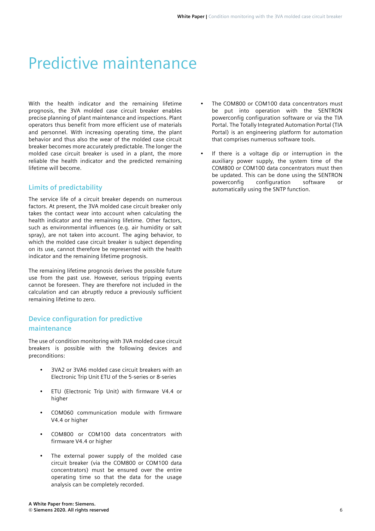### Predictive maintenance

With the health indicator and the remaining lifetime prognosis, the 3VA molded case circuit breaker enables precise planning of plant maintenance and inspections. Plant operators thus benefit from more efficient use of materials and personnel. With increasing operating time, the plant behavior and thus also the wear of the molded case circuit breaker becomes more accurately predictable. The longer the molded case circuit breaker is used in a plant, the more reliable the health indicator and the predicted remaining lifetime will become.

#### **Limits of predictability**

The service life of a circuit breaker depends on numerous factors. At present, the 3VA molded case circuit breaker only takes the contact wear into account when calculating the health indicator and the remaining lifetime. Other factors, such as environmental influences (e.g. air humidity or salt spray), are not taken into account. The aging behavior, to which the molded case circuit breaker is subject depending on its use, cannot therefore be represented with the health indicator and the remaining lifetime prognosis.

The remaining lifetime prognosis derives the possible future use from the past use. However, serious tripping events cannot be foreseen. They are therefore not included in the calculation and can abruptly reduce a previously sufficient remaining lifetime to zero.

#### **Device configuration for predictive maintenance**

The use of condition monitoring with 3VA molded case circuit breakers is possible with the following devices and preconditions:

- 3VA2 or 3VA6 molded case circuit breakers with an Electronic Trip Unit ETU of the 5-series or 8-series
- ETU (Electronic Trip Unit) with firmware V4.4 or higher
- COM060 communication module with firmware V4.4 or higher
- COM800 or COM100 data concentrators with firmware V4.4 or higher
- The external power supply of the molded case circuit breaker (via the COM800 or COM100 data concentrators) must be ensured over the entire operating time so that the data for the usage analysis can be completely recorded.
- The COM800 or COM100 data concentrators must be put into operation with the SENTRON powerconfig configuration software or via the TIA Portal. The Totally Integrated Automation Portal (TIA Portal) is an engineering platform for automation that comprises numerous software tools.
- If there is a voltage dip or interruption in the auxiliary power supply, the system time of the COM800 or COM100 data concentrators must then be updated. This can be done using the SENTRON powerconfig configuration software or automatically using the SNTP function.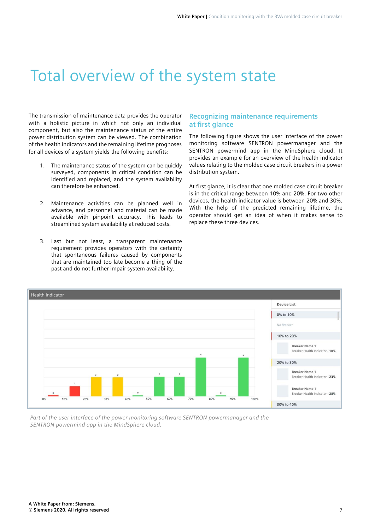### Total overview of the system state

The transmission of maintenance data provides the operator with a holistic picture in which not only an individual component, but also the maintenance status of the entire power distribution system can be viewed. The combination of the health indicators and the remaining lifetime prognoses for all devices of a system yields the following benefits:

- 1. The maintenance status of the system can be quickly surveyed, components in critical condition can be identified and replaced, and the system availability can therefore be enhanced.
- 2. Maintenance activities can be planned well in advance, and personnel and material can be made available with pinpoint accuracy. This leads to streamlined system availability at reduced costs.
- 3. Last but not least, a transparent maintenance requirement provides operators with the certainty that spontaneous failures caused by components that are maintained too late become a thing of the past and do not further impair system availability.

#### **Recognizing maintenance requirements at first glance**

The following figure shows the user interface of the power monitoring software SENTRON powermanager and the SENTRON powermind app in the MindSphere cloud. It provides an example for an overview of the health indicator values relating to the molded case circuit breakers in a power distribution system.

At first glance, it is clear that one molded case circuit breaker is in the critical range between 10% and 20%. For two other devices, the health indicator value is between 20% and 30%. With the help of the predicted remaining lifetime, the operator should get an idea of when it makes sense to replace these three devices.



*Part of the user interface of the power monitoring software SENTRON powermanager and the SENTRON powermind app in the MindSphere cloud.*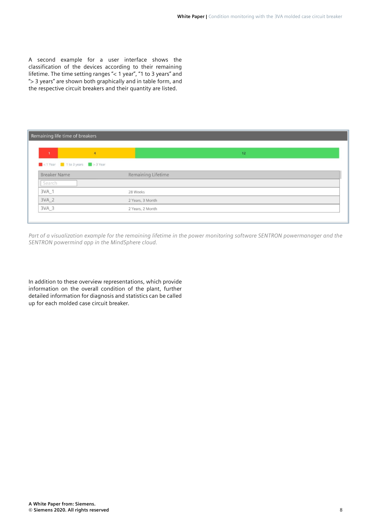A second example for a user interface shows the classification of the devices according to their remaining lifetime. The time setting ranges "< 1 year", "1 to 3 years" and "> 3 years" are shown both graphically and in table form, and the respective circuit breakers and their quantity are listed.

| Remaining life time of breakers                     |                    |  |
|-----------------------------------------------------|--------------------|--|
| $\mathbf{1}$<br>$\overline{4}$                      | 12                 |  |
| $\Box$ < 1 Year $\Box$ 1 to 3 years $\Box$ > 3 Year |                    |  |
| <b>Breaker Name</b>                                 | Remaining Lifetime |  |
| Search                                              |                    |  |
| 3VA_1                                               | 28 Weeks           |  |
| 3VA_2                                               | 2 Years, 3 Month   |  |
| $3VA_3$                                             | 2 Years, 2 Month   |  |

*Part of a visualization example for the remaining lifetime in the power monitoring software SENTRON powermanager and the SENTRON powermind app in the MindSphere cloud.*

In addition to these overview representations, which provide information on the overall condition of the plant, further detailed information for diagnosis and statistics can be called up for each molded case circuit breaker.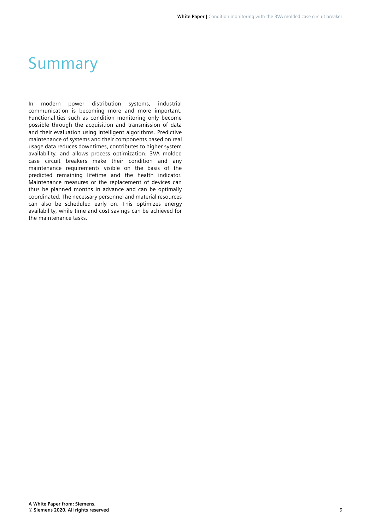### Summary

In modern power distribution systems, industrial communication is becoming more and more important. Functionalities such as condition monitoring only become possible through the acquisition and transmission of data and their evaluation using intelligent algorithms. Predictive maintenance of systems and their components based on real usage data reduces downtimes, contributes to higher system availability, and allows process optimization. 3VA molded case circuit breakers make their condition and any maintenance requirements visible on the basis of the predicted remaining lifetime and the health indicator. Maintenance measures or the replacement of devices can thus be planned months in advance and can be optimally coordinated. The necessary personnel and material resources can also be scheduled early on. This optimizes energy availability, while time and cost savings can be achieved for the maintenance tasks.